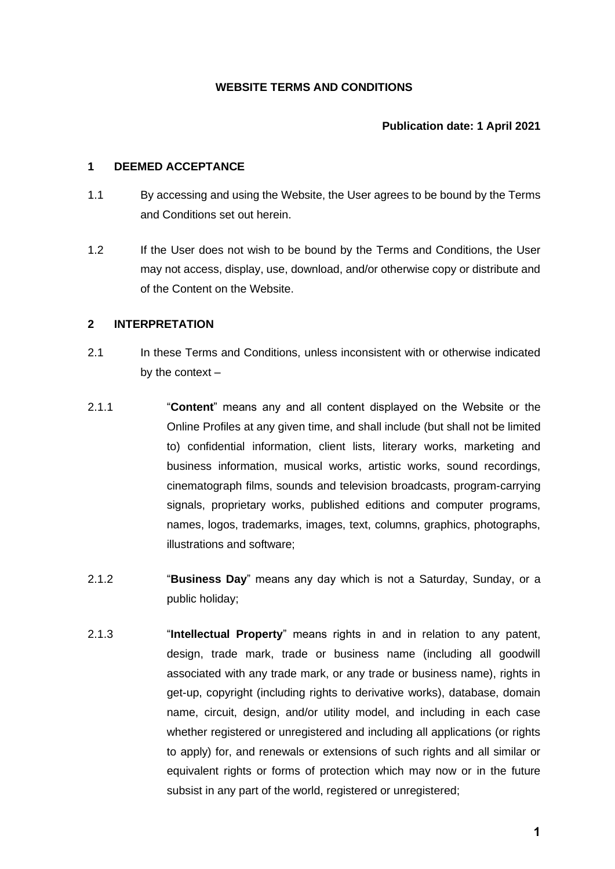## **WEBSITE TERMS AND CONDITIONS**

# **Publication date: 1 April 2021**

#### **1 DEEMED ACCEPTANCE**

- 1.1 By accessing and using the Website, the User agrees to be bound by the Terms and Conditions set out herein.
- 1.2 If the User does not wish to be bound by the Terms and Conditions, the User may not access, display, use, download, and/or otherwise copy or distribute and of the Content on the Website.

#### **2 INTERPRETATION**

- 2.1 In these Terms and Conditions, unless inconsistent with or otherwise indicated by the context –
- 2.1.1 "**Content**" means any and all content displayed on the Website or the Online Profiles at any given time, and shall include (but shall not be limited to) confidential information, client lists, literary works, marketing and business information, musical works, artistic works, sound recordings, cinematograph films, sounds and television broadcasts, program-carrying signals, proprietary works, published editions and computer programs, names, logos, trademarks, images, text, columns, graphics, photographs, illustrations and software;
- 2.1.2 "**Business Day**" means any day which is not a Saturday, Sunday, or a public holiday;
- 2.1.3 "**Intellectual Property**" means rights in and in relation to any patent, design, trade mark, trade or business name (including all goodwill associated with any trade mark, or any trade or business name), rights in get-up, copyright (including rights to derivative works), database, domain name, circuit, design, and/or utility model, and including in each case whether registered or unregistered and including all applications (or rights to apply) for, and renewals or extensions of such rights and all similar or equivalent rights or forms of protection which may now or in the future subsist in any part of the world, registered or unregistered;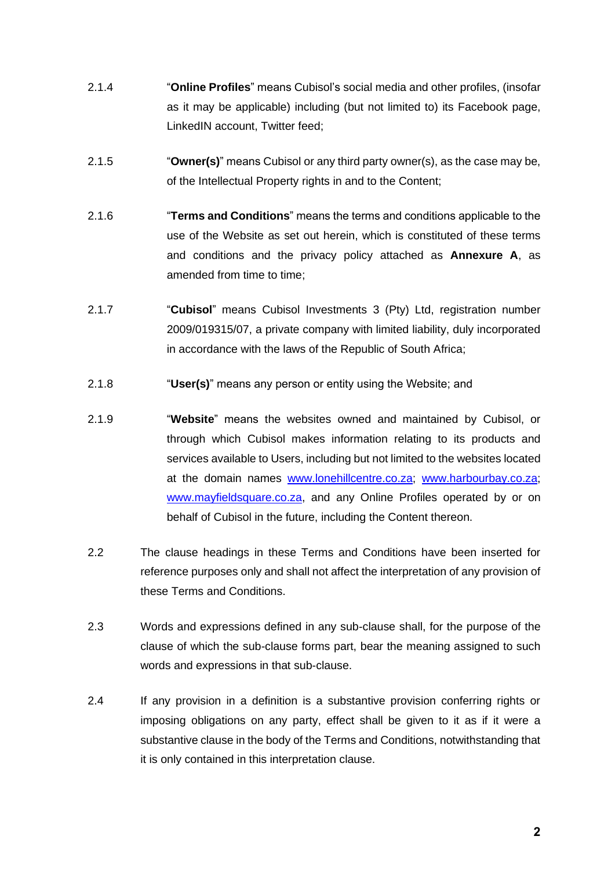- 2.1.4 "**Online Profiles**" means Cubisol's social media and other profiles, (insofar as it may be applicable) including (but not limited to) its Facebook page, LinkedIN account, Twitter feed;
- 2.1.5 "**Owner(s)**" means Cubisol or any third party owner(s), as the case may be, of the Intellectual Property rights in and to the Content;
- 2.1.6 "**Terms and Conditions**" means the terms and conditions applicable to the use of the Website as set out herein, which is constituted of these terms and conditions and the privacy policy attached as **Annexure A**, as amended from time to time:
- 2.1.7 "**Cubisol**" means Cubisol Investments 3 (Pty) Ltd, registration number 2009/019315/07, a private company with limited liability, duly incorporated in accordance with the laws of the Republic of South Africa;
- 2.1.8 "**User(s)**" means any person or entity using the Website; and
- 2.1.9 "**Website**" means the websites owned and maintained by Cubisol, or through which Cubisol makes information relating to its products and services available to Users, including but not limited to the websites located at the domain names [www.lonehillcentre.co.za;](http://www.lonehillcentre.co.za/) [www.harbourbay.co.za;](http://www.harbourbay.co.za/) [www.mayfieldsquare.co.za,](http://www.mayfieldsquare.co.za/) and any Online Profiles operated by or on behalf of Cubisol in the future, including the Content thereon.
- 2.2 The clause headings in these Terms and Conditions have been inserted for reference purposes only and shall not affect the interpretation of any provision of these Terms and Conditions.
- 2.3 Words and expressions defined in any sub-clause shall, for the purpose of the clause of which the sub-clause forms part, bear the meaning assigned to such words and expressions in that sub-clause.
- 2.4 If any provision in a definition is a substantive provision conferring rights or imposing obligations on any party, effect shall be given to it as if it were a substantive clause in the body of the Terms and Conditions, notwithstanding that it is only contained in this interpretation clause.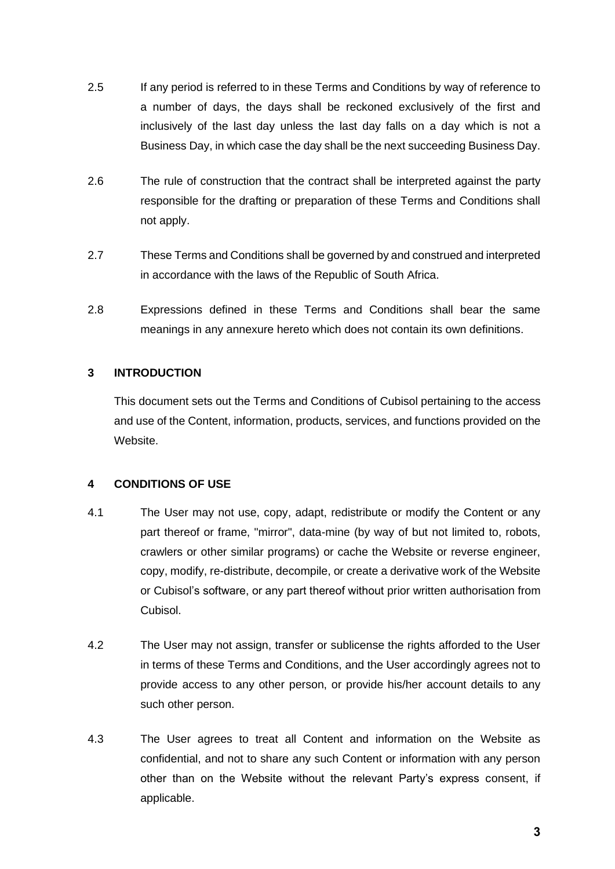- 2.5 If any period is referred to in these Terms and Conditions by way of reference to a number of days, the days shall be reckoned exclusively of the first and inclusively of the last day unless the last day falls on a day which is not a Business Day, in which case the day shall be the next succeeding Business Day.
- 2.6 The rule of construction that the contract shall be interpreted against the party responsible for the drafting or preparation of these Terms and Conditions shall not apply.
- 2.7 These Terms and Conditions shall be governed by and construed and interpreted in accordance with the laws of the Republic of South Africa.
- 2.8 Expressions defined in these Terms and Conditions shall bear the same meanings in any annexure hereto which does not contain its own definitions.

# **3 INTRODUCTION**

This document sets out the Terms and Conditions of Cubisol pertaining to the access and use of the Content, information, products, services, and functions provided on the Website.

## **4 CONDITIONS OF USE**

- 4.1 The User may not use, copy, adapt, redistribute or modify the Content or any part thereof or frame, "mirror", data-mine (by way of but not limited to, robots, crawlers or other similar programs) or cache the Website or reverse engineer, copy, modify, re-distribute, decompile, or create a derivative work of the Website or Cubisol's software, or any part thereof without prior written authorisation from Cubisol.
- 4.2 The User may not assign, transfer or sublicense the rights afforded to the User in terms of these Terms and Conditions, and the User accordingly agrees not to provide access to any other person, or provide his/her account details to any such other person.
- 4.3 The User agrees to treat all Content and information on the Website as confidential, and not to share any such Content or information with any person other than on the Website without the relevant Party's express consent, if applicable.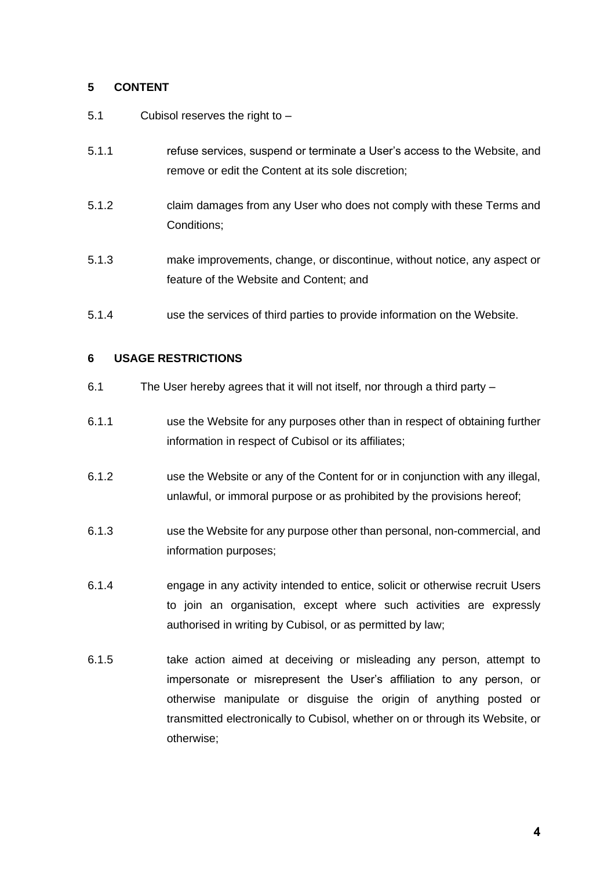# **5 CONTENT**

- 5.1 Cubisol reserves the right to –
- 5.1.1 refuse services, suspend or terminate a User's access to the Website, and remove or edit the Content at its sole discretion;
- 5.1.2 claim damages from any User who does not comply with these Terms and Conditions;
- 5.1.3 make improvements, change, or discontinue, without notice, any aspect or feature of the Website and Content; and
- 5.1.4 use the services of third parties to provide information on the Website.

# **6 USAGE RESTRICTIONS**

- 6.1 The User hereby agrees that it will not itself, nor through a third party –
- 6.1.1 use the Website for any purposes other than in respect of obtaining further information in respect of Cubisol or its affiliates;
- 6.1.2 use the Website or any of the Content for or in conjunction with any illegal, unlawful, or immoral purpose or as prohibited by the provisions hereof;
- 6.1.3 use the Website for any purpose other than personal, non-commercial, and information purposes;
- 6.1.4 engage in any activity intended to entice, solicit or otherwise recruit Users to join an organisation, except where such activities are expressly authorised in writing by Cubisol, or as permitted by law;
- 6.1.5 take action aimed at deceiving or misleading any person, attempt to impersonate or misrepresent the User's affiliation to any person, or otherwise manipulate or disguise the origin of anything posted or transmitted electronically to Cubisol, whether on or through its Website, or otherwise;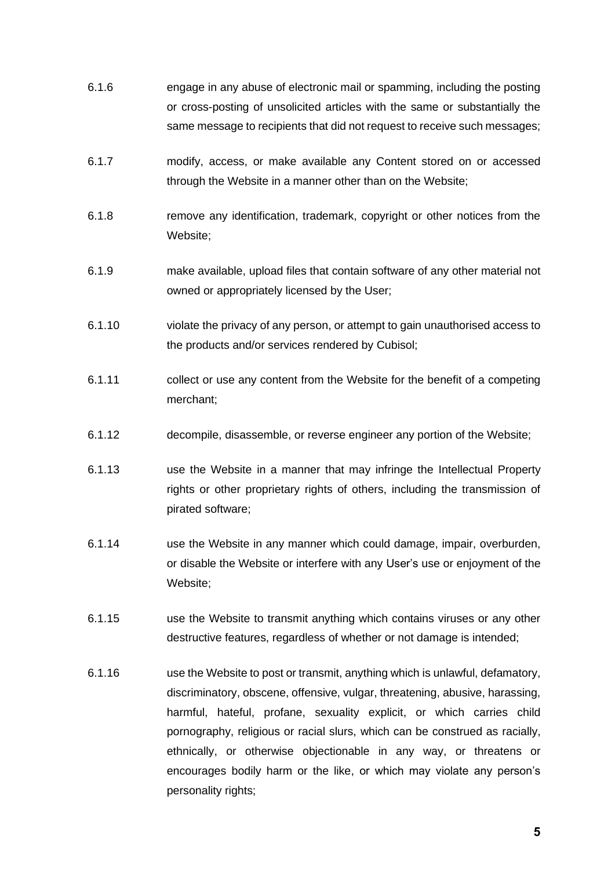- 6.1.6 engage in any abuse of electronic mail or spamming, including the posting or cross-posting of unsolicited articles with the same or substantially the same message to recipients that did not request to receive such messages;
- 6.1.7 modify, access, or make available any Content stored on or accessed through the Website in a manner other than on the Website;
- 6.1.8 remove any identification, trademark, copyright or other notices from the Website;
- 6.1.9 make available, upload files that contain software of any other material not owned or appropriately licensed by the User;
- 6.1.10 violate the privacy of any person, or attempt to gain unauthorised access to the products and/or services rendered by Cubisol;
- 6.1.11 collect or use any content from the Website for the benefit of a competing merchant;
- 6.1.12 decompile, disassemble, or reverse engineer any portion of the Website;
- 6.1.13 use the Website in a manner that may infringe the Intellectual Property rights or other proprietary rights of others, including the transmission of pirated software;
- 6.1.14 use the Website in any manner which could damage, impair, overburden, or disable the Website or interfere with any User's use or enjoyment of the Website;
- 6.1.15 use the Website to transmit anything which contains viruses or any other destructive features, regardless of whether or not damage is intended;
- 6.1.16 use the Website to post or transmit, anything which is unlawful, defamatory, discriminatory, obscene, offensive, vulgar, threatening, abusive, harassing, harmful, hateful, profane, sexuality explicit, or which carries child pornography, religious or racial slurs, which can be construed as racially, ethnically, or otherwise objectionable in any way, or threatens or encourages bodily harm or the like, or which may violate any person's personality rights;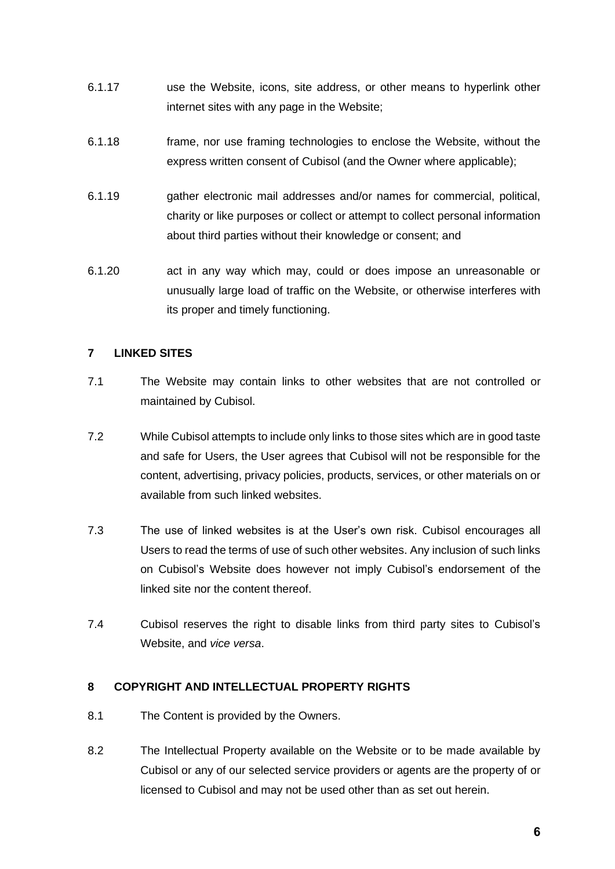- 6.1.17 use the Website, icons, site address, or other means to hyperlink other internet sites with any page in the Website;
- 6.1.18 frame, nor use framing technologies to enclose the Website, without the express written consent of Cubisol (and the Owner where applicable);
- 6.1.19 gather electronic mail addresses and/or names for commercial, political, charity or like purposes or collect or attempt to collect personal information about third parties without their knowledge or consent; and
- 6.1.20 act in any way which may, could or does impose an unreasonable or unusually large load of traffic on the Website, or otherwise interferes with its proper and timely functioning.

# **7 LINKED SITES**

- 7.1 The Website may contain links to other websites that are not controlled or maintained by Cubisol.
- 7.2 While Cubisol attempts to include only links to those sites which are in good taste and safe for Users, the User agrees that Cubisol will not be responsible for the content, advertising, privacy policies, products, services, or other materials on or available from such linked websites.
- 7.3 The use of linked websites is at the User's own risk. Cubisol encourages all Users to read the terms of use of such other websites. Any inclusion of such links on Cubisol's Website does however not imply Cubisol's endorsement of the linked site nor the content thereof.
- 7.4 Cubisol reserves the right to disable links from third party sites to Cubisol's Website, and *vice versa*.

## **8 COPYRIGHT AND INTELLECTUAL PROPERTY RIGHTS**

- 8.1 The Content is provided by the Owners.
- 8.2 The Intellectual Property available on the Website or to be made available by Cubisol or any of our selected service providers or agents are the property of or licensed to Cubisol and may not be used other than as set out herein.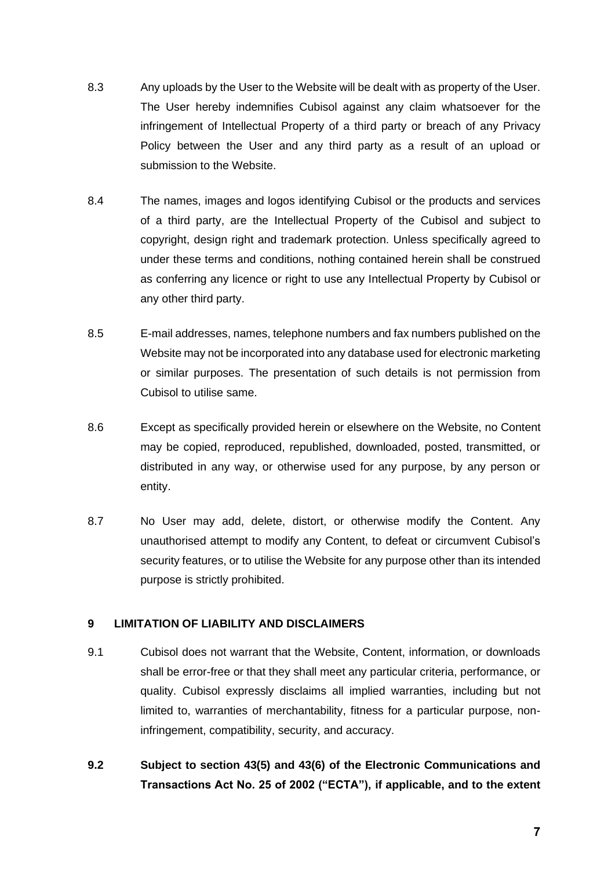- 8.3 Any uploads by the User to the Website will be dealt with as property of the User. The User hereby indemnifies Cubisol against any claim whatsoever for the infringement of Intellectual Property of a third party or breach of any Privacy Policy between the User and any third party as a result of an upload or submission to the Website.
- 8.4 The names, images and logos identifying Cubisol or the products and services of a third party, are the Intellectual Property of the Cubisol and subject to copyright, design right and trademark protection. Unless specifically agreed to under these terms and conditions, nothing contained herein shall be construed as conferring any licence or right to use any Intellectual Property by Cubisol or any other third party.
- 8.5 E-mail addresses, names, telephone numbers and fax numbers published on the Website may not be incorporated into any database used for electronic marketing or similar purposes. The presentation of such details is not permission from Cubisol to utilise same.
- 8.6 Except as specifically provided herein or elsewhere on the Website, no Content may be copied, reproduced, republished, downloaded, posted, transmitted, or distributed in any way, or otherwise used for any purpose, by any person or entity.
- 8.7 No User may add, delete, distort, or otherwise modify the Content. Any unauthorised attempt to modify any Content, to defeat or circumvent Cubisol's security features, or to utilise the Website for any purpose other than its intended purpose is strictly prohibited.

## **9 LIMITATION OF LIABILITY AND DISCLAIMERS**

- 9.1 Cubisol does not warrant that the Website, Content, information, or downloads shall be error-free or that they shall meet any particular criteria, performance, or quality. Cubisol expressly disclaims all implied warranties, including but not limited to, warranties of merchantability, fitness for a particular purpose, noninfringement, compatibility, security, and accuracy.
- **9.2 Subject to section 43(5) and 43(6) of the Electronic Communications and Transactions Act No. 25 of 2002 ("ECTA"), if applicable, and to the extent**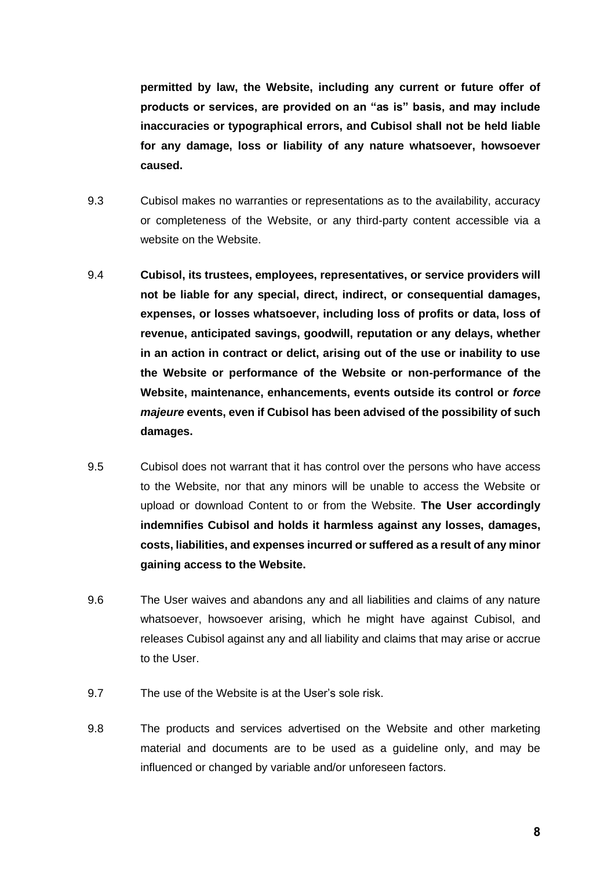**permitted by law, the Website, including any current or future offer of products or services, are provided on an "as is" basis, and may include inaccuracies or typographical errors, and Cubisol shall not be held liable for any damage, loss or liability of any nature whatsoever, howsoever caused.**

- 9.3 Cubisol makes no warranties or representations as to the availability, accuracy or completeness of the Website, or any third-party content accessible via a website on the Website.
- 9.4 **Cubisol, its trustees, employees, representatives, or service providers will not be liable for any special, direct, indirect, or consequential damages, expenses, or losses whatsoever, including loss of profits or data, loss of revenue, anticipated savings, goodwill, reputation or any delays, whether in an action in contract or delict, arising out of the use or inability to use the Website or performance of the Website or non-performance of the Website, maintenance, enhancements, events outside its control or** *force majeure* **events, even if Cubisol has been advised of the possibility of such damages.**
- 9.5 Cubisol does not warrant that it has control over the persons who have access to the Website, nor that any minors will be unable to access the Website or upload or download Content to or from the Website. **The User accordingly indemnifies Cubisol and holds it harmless against any losses, damages, costs, liabilities, and expenses incurred or suffered as a result of any minor gaining access to the Website.**
- 9.6 The User waives and abandons any and all liabilities and claims of any nature whatsoever, howsoever arising, which he might have against Cubisol, and releases Cubisol against any and all liability and claims that may arise or accrue to the User.
- 9.7 The use of the Website is at the User's sole risk.
- 9.8 The products and services advertised on the Website and other marketing material and documents are to be used as a guideline only, and may be influenced or changed by variable and/or unforeseen factors.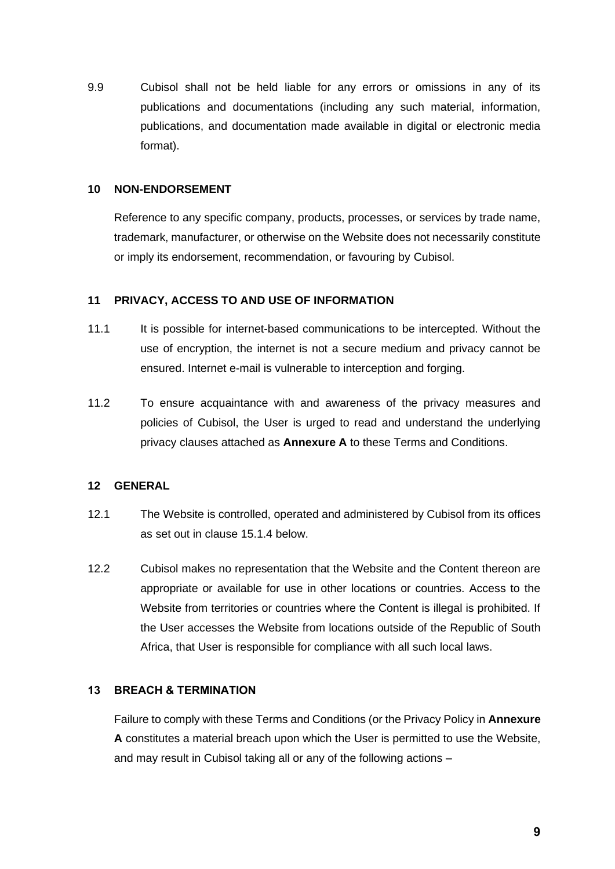9.9 Cubisol shall not be held liable for any errors or omissions in any of its publications and documentations (including any such material, information, publications, and documentation made available in digital or electronic media format).

#### **10 NON-ENDORSEMENT**

Reference to any specific company, products, processes, or services by trade name, trademark, manufacturer, or otherwise on the Website does not necessarily constitute or imply its endorsement, recommendation, or favouring by Cubisol.

#### **11 PRIVACY, ACCESS TO AND USE OF INFORMATION**

- 11.1 It is possible for internet-based communications to be intercepted. Without the use of encryption, the internet is not a secure medium and privacy cannot be ensured. Internet e-mail is vulnerable to interception and forging.
- 11.2 To ensure acquaintance with and awareness of the privacy measures and policies of Cubisol, the User is urged to read and understand the underlying privacy clauses attached as **Annexure A** to these Terms and Conditions.

## **12 GENERAL**

- 12.1 The Website is controlled, operated and administered by Cubisol from its offices as set out in clause [15.1.4](#page-12-0) below.
- 12.2 Cubisol makes no representation that the Website and the Content thereon are appropriate or available for use in other locations or countries. Access to the Website from territories or countries where the Content is illegal is prohibited. If the User accesses the Website from locations outside of the Republic of South Africa, that User is responsible for compliance with all such local laws.

#### **13 BREACH & TERMINATION**

Failure to comply with these Terms and Conditions (or the Privacy Policy in **Annexure A** constitutes a material breach upon which the User is permitted to use the Website, and may result in Cubisol taking all or any of the following actions –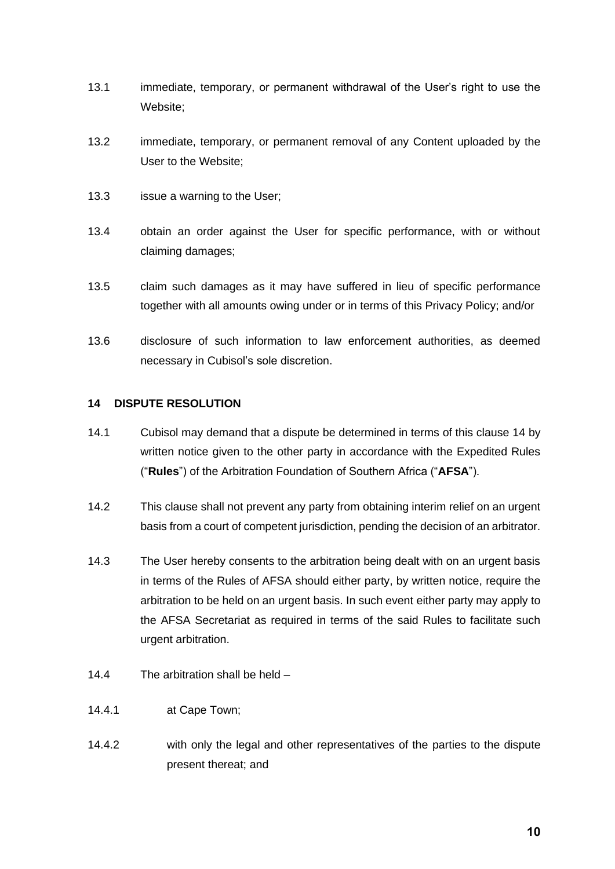- 13.1 immediate, temporary, or permanent withdrawal of the User's right to use the Website;
- 13.2 immediate, temporary, or permanent removal of any Content uploaded by the User to the Website;
- 13.3 issue a warning to the User;
- 13.4 obtain an order against the User for specific performance, with or without claiming damages;
- 13.5 claim such damages as it may have suffered in lieu of specific performance together with all amounts owing under or in terms of this Privacy Policy; and/or
- 13.6 disclosure of such information to law enforcement authorities, as deemed necessary in Cubisol's sole discretion.

# <span id="page-9-0"></span>**14 DISPUTE RESOLUTION**

- <span id="page-9-1"></span>14.1 Cubisol may demand that a dispute be determined in terms of this clause [14](#page-9-0) by written notice given to the other party in accordance with the Expedited Rules ("**Rules**") of the Arbitration Foundation of Southern Africa ("**AFSA**").
- 14.2 This clause shall not prevent any party from obtaining interim relief on an urgent basis from a court of competent jurisdiction, pending the decision of an arbitrator.
- 14.3 The User hereby consents to the arbitration being dealt with on an urgent basis in terms of the Rules of AFSA should either party, by written notice, require the arbitration to be held on an urgent basis. In such event either party may apply to the AFSA Secretariat as required in terms of the said Rules to facilitate such urgent arbitration.
- 14.4 The arbitration shall be held –
- 14.4.1 at Cape Town;
- 14.4.2 with only the legal and other representatives of the parties to the dispute present thereat; and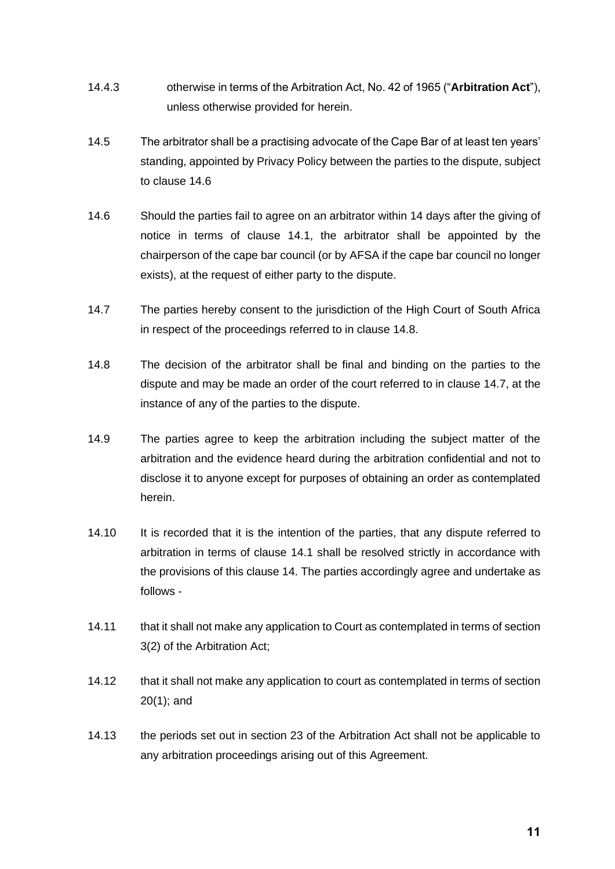- 14.4.3 otherwise in terms of the Arbitration Act, No. 42 of 1965 ("**Arbitration Act**"), unless otherwise provided for herein.
- 14.5 The arbitrator shall be a practising advocate of the Cape Bar of at least ten years' standing, appointed by Privacy Policy between the parties to the dispute, subject to clause [14.6](#page-10-0)
- <span id="page-10-0"></span>14.6 Should the parties fail to agree on an arbitrator within 14 days after the giving of notice in terms of clause [14.1,](#page-9-1) the arbitrator shall be appointed by the chairperson of the cape bar council (or by AFSA if the cape bar council no longer exists), at the request of either party to the dispute.
- <span id="page-10-2"></span>14.7 The parties hereby consent to the jurisdiction of the High Court of South Africa in respect of the proceedings referred to in clause [14.8.](#page-10-1)
- <span id="page-10-1"></span>14.8 The decision of the arbitrator shall be final and binding on the parties to the dispute and may be made an order of the court referred to in clause [14.7,](#page-10-2) at the instance of any of the parties to the dispute.
- 14.9 The parties agree to keep the arbitration including the subject matter of the arbitration and the evidence heard during the arbitration confidential and not to disclose it to anyone except for purposes of obtaining an order as contemplated herein.
- 14.10 It is recorded that it is the intention of the parties, that any dispute referred to arbitration in terms of clause [14.1](#page-9-1) shall be resolved strictly in accordance with the provisions of this clause [14.](#page-9-0) The parties accordingly agree and undertake as follows -
- 14.11 that it shall not make any application to Court as contemplated in terms of section 3(2) of the Arbitration Act;
- 14.12 that it shall not make any application to court as contemplated in terms of section 20(1); and
- 14.13 the periods set out in section 23 of the Arbitration Act shall not be applicable to any arbitration proceedings arising out of this Agreement.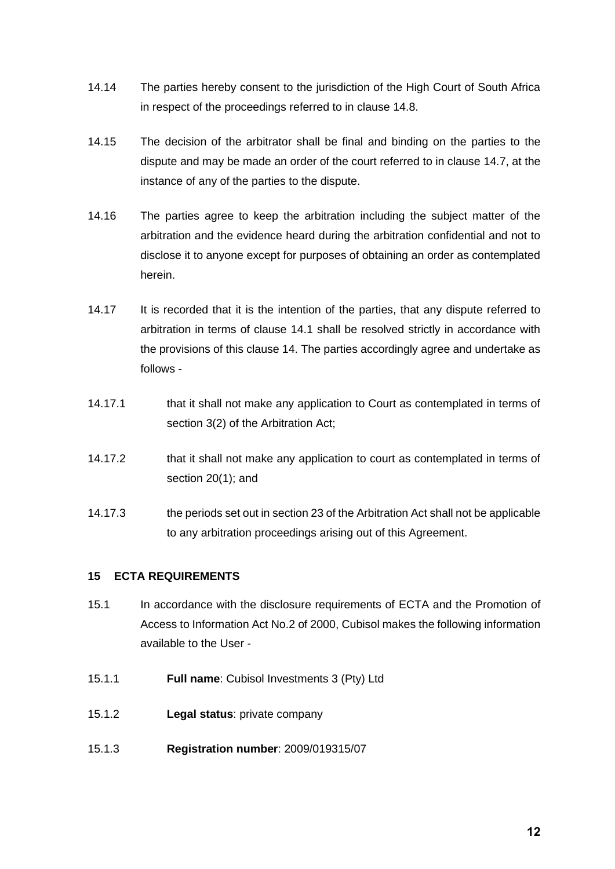- 14.14 The parties hereby consent to the jurisdiction of the High Court of South Africa in respect of the proceedings referred to in clause [14.8.](#page-10-1)
- 14.15 The decision of the arbitrator shall be final and binding on the parties to the dispute and may be made an order of the court referred to in clause [14.7,](#page-10-2) at the instance of any of the parties to the dispute.
- 14.16 The parties agree to keep the arbitration including the subject matter of the arbitration and the evidence heard during the arbitration confidential and not to disclose it to anyone except for purposes of obtaining an order as contemplated herein.
- 14.17 It is recorded that it is the intention of the parties, that any dispute referred to arbitration in terms of clause [14.1](#page-9-1) shall be resolved strictly in accordance with the provisions of this clause [14.](#page-9-0) The parties accordingly agree and undertake as follows -
- 14.17.1 that it shall not make any application to Court as contemplated in terms of section 3(2) of the Arbitration Act;
- 14.17.2 that it shall not make any application to court as contemplated in terms of section 20(1); and
- 14.17.3 the periods set out in section 23 of the Arbitration Act shall not be applicable to any arbitration proceedings arising out of this Agreement.

# **15 ECTA REQUIREMENTS**

- 15.1 In accordance with the disclosure requirements of ECTA and the Promotion of Access to Information Act No.2 of 2000, Cubisol makes the following information available to the User -
- 15.1.1 **Full name**: Cubisol Investments 3 (Pty) Ltd
- 15.1.2 **Legal status**: private company
- 15.1.3 **Registration number**: 2009/019315/07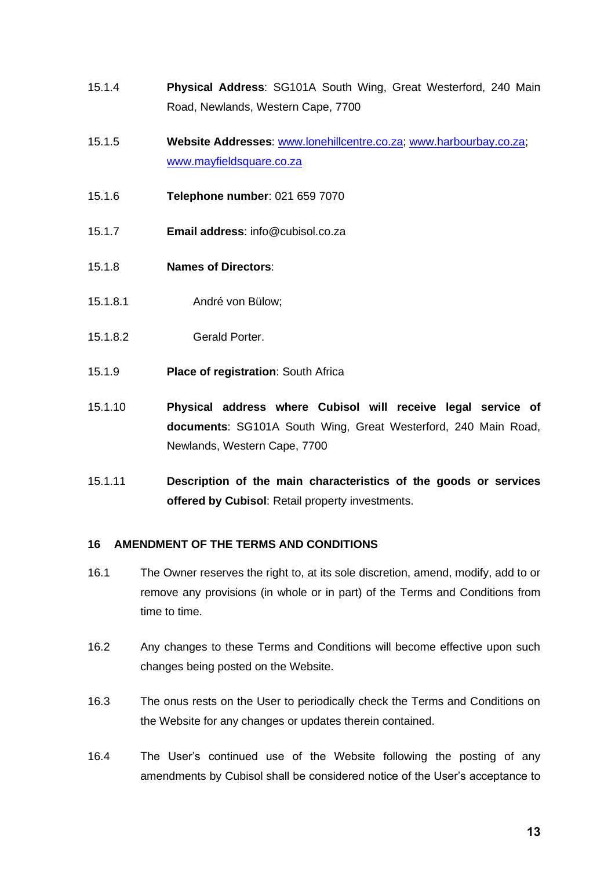- <span id="page-12-0"></span>15.1.4 **Physical Address**: SG101A South Wing, Great Westerford, 240 Main Road, Newlands, Western Cape, 7700
- 15.1.5 **Website Addresses**: [www.lonehillcentre.co.za;](http://www.lonehillcentre.co.za/) [www.harbourbay.co.za;](http://www.harbourbay.co.za/) [www.mayfieldsquare.co.za](http://www.mayfieldsquare.co.za/)
- 15.1.6 **Telephone number**: 021 659 7070
- 15.1.7 **Email address**: info@cubisol.co.za
- 15.1.8 **Names of Directors**:
- 15.1.8.1 André von Bülow;
- 15.1.8.2 Gerald Porter.
- 15.1.9 **Place of registration**: South Africa
- 15.1.10 **Physical address where Cubisol will receive legal service of documents**: SG101A South Wing, Great Westerford, 240 Main Road, Newlands, Western Cape, 7700
- 15.1.11 **Description of the main characteristics of the goods or services offered by Cubisol**: Retail property investments.

## **16 AMENDMENT OF THE TERMS AND CONDITIONS**

- 16.1 The Owner reserves the right to, at its sole discretion, amend, modify, add to or remove any provisions (in whole or in part) of the Terms and Conditions from time to time.
- 16.2 Any changes to these Terms and Conditions will become effective upon such changes being posted on the Website.
- 16.3 The onus rests on the User to periodically check the Terms and Conditions on the Website for any changes or updates therein contained.
- 16.4 The User's continued use of the Website following the posting of any amendments by Cubisol shall be considered notice of the User's acceptance to